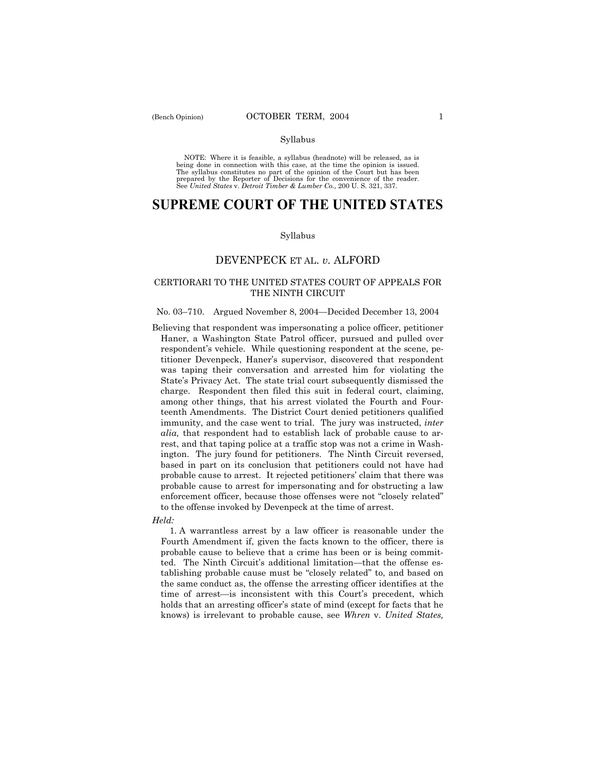#### Syllabus

NOTE: Where it is feasible, a syllabus (headnote) will be released, as is being done in connection with this case, at the time the opinion is issued. The syllabus constitutes no part of the opinion of the Court but has been<br>prepared by the Reporter of Decisions for the convenience of the reader.<br>See United States v. Detroit Timber & Lumber Co., 200 U. S. 321, 337.

# **SUPREME COURT OF THE UNITED STATES**

#### Syllabus

## DEVENPECK ET AL. *v.* ALFORD

### CERTIORARI TO THE UNITED STATES COURT OF APPEALS FOR THE NINTH CIRCUIT

#### No. 03–710. Argued November 8, 2004–Decided December 13, 2004

Believing that respondent was impersonating a police officer, petitioner Haner, a Washington State Patrol officer, pursued and pulled over respondent's vehicle. While questioning respondent at the scene, petitioner Devenpeck, Hanerís supervisor, discovered that respondent was taping their conversation and arrested him for violating the State's Privacy Act. The state trial court subsequently dismissed the charge. Respondent then filed this suit in federal court, claiming, among other things, that his arrest violated the Fourth and Fourteenth Amendments. The District Court denied petitioners qualified immunity, and the case went to trial. The jury was instructed, *inter alia,* that respondent had to establish lack of probable cause to arrest, and that taping police at a traffic stop was not a crime in Washington. The jury found for petitioners. The Ninth Circuit reversed, based in part on its conclusion that petitioners could not have had probable cause to arrest. It rejected petitioners' claim that there was probable cause to arrest for impersonating and for obstructing a law enforcement officer, because those offenses were not "closely related" to the offense invoked by Devenpeck at the time of arrest.

#### *Held:*

 1. A warrantless arrest by a law officer is reasonable under the Fourth Amendment if, given the facts known to the officer, there is probable cause to believe that a crime has been or is being committed. The Ninth Circuit's additional limitation—that the offense establishing probable cause must be "closely related" to, and based on the same conduct as, the offense the arresting officer identifies at the time of arrest-is inconsistent with this Court's precedent, which holds that an arresting officer's state of mind (except for facts that he knows) is irrelevant to probable cause, see *Whren* v. *United States,*